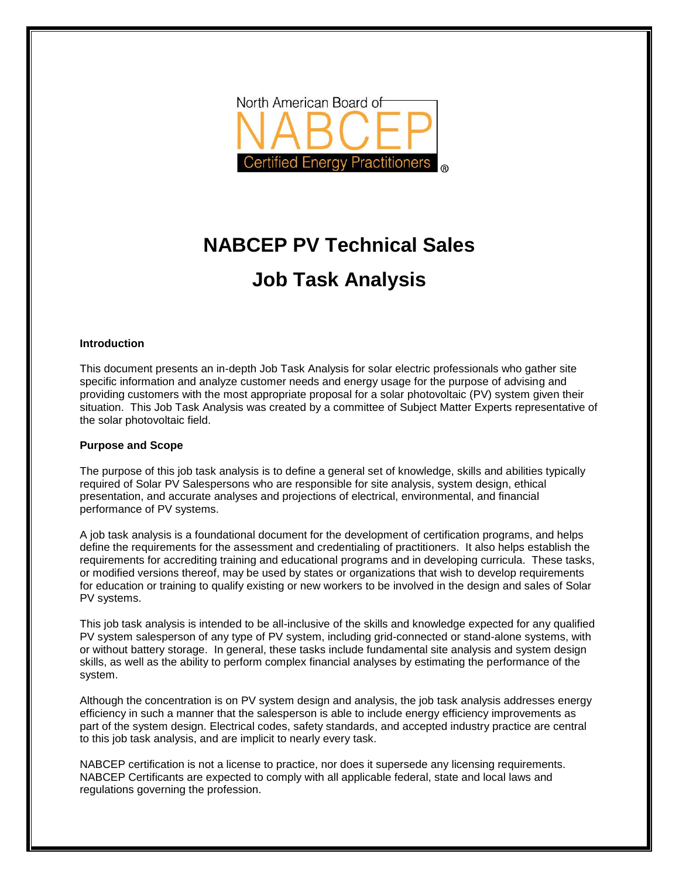

# **NABCEP PV Technical Sales Job Task Analysis**

#### **Introduction**

This document presents an in-depth Job Task Analysis for solar electric professionals who gather site specific information and analyze customer needs and energy usage for the purpose of advising and providing customers with the most appropriate proposal for a solar photovoltaic (PV) system given their situation. This Job Task Analysis was created by a committee of Subject Matter Experts representative of the solar photovoltaic field.

#### **Purpose and Scope**

The purpose of this job task analysis is to define a general set of knowledge, skills and abilities typically required of Solar PV Salespersons who are responsible for site analysis, system design, ethical presentation, and accurate analyses and projections of electrical, environmental, and financial performance of PV systems.

A job task analysis is a foundational document for the development of certification programs, and helps define the requirements for the assessment and credentialing of practitioners. It also helps establish the requirements for accrediting training and educational programs and in developing curricula. These tasks, or modified versions thereof, may be used by states or organizations that wish to develop requirements for education or training to qualify existing or new workers to be involved in the design and sales of Solar PV systems.

This job task analysis is intended to be all-inclusive of the skills and knowledge expected for any qualified PV system salesperson of any type of PV system, including grid-connected or stand-alone systems, with or without battery storage. In general, these tasks include fundamental site analysis and system design skills, as well as the ability to perform complex financial analyses by estimating the performance of the system.

Although the concentration is on PV system design and analysis, the job task analysis addresses energy efficiency in such a manner that the salesperson is able to include energy efficiency improvements as part of the system design. Electrical codes, safety standards, and accepted industry practice are central to this job task analysis, and are implicit to nearly every task.

NABCEP certification is not a license to practice, nor does it supersede any licensing requirements. NABCEP Certificants are expected to comply with all applicable federal, state and local laws and regulations governing the profession.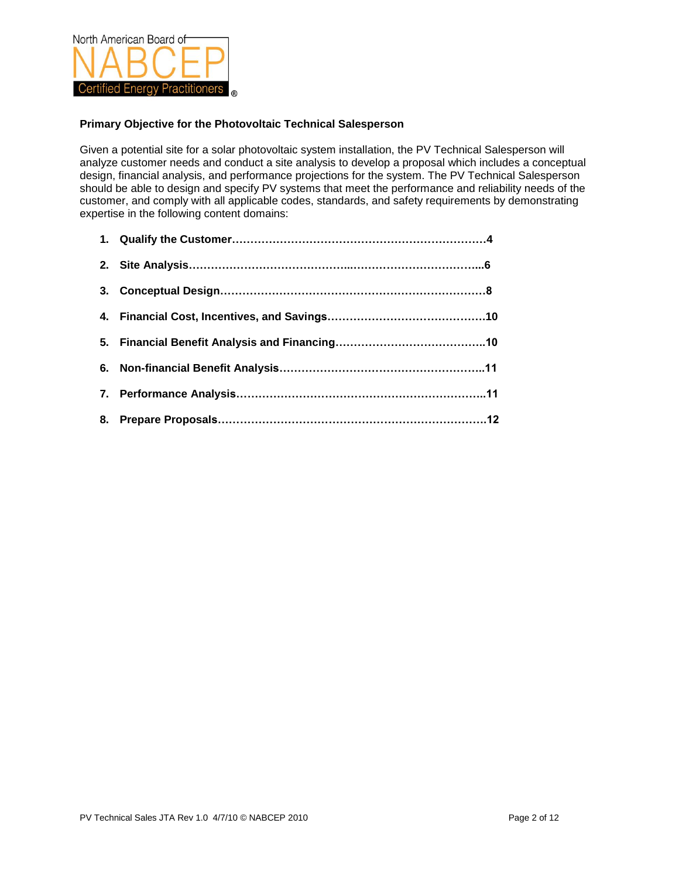

## **Primary Objective for the Photovoltaic Technical Salesperson**

Given a potential site for a solar photovoltaic system installation, the PV Technical Salesperson will analyze customer needs and conduct a site analysis to develop a proposal which includes a conceptual design, financial analysis, and performance projections for the system. The PV Technical Salesperson should be able to design and specify PV systems that meet the performance and reliability needs of the customer, and comply with all applicable codes, standards, and safety requirements by demonstrating expertise in the following content domains: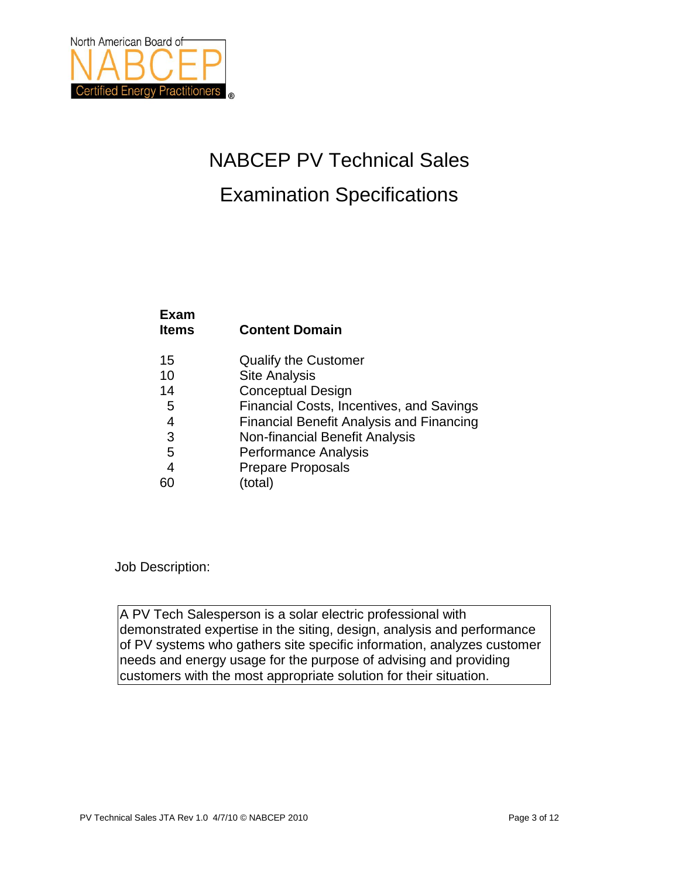

# NABCEP PV Technical Sales Examination Specifications

| схан<br><b>Items</b> | <b>Content Domain</b>                           |
|----------------------|-------------------------------------------------|
| 15                   | <b>Qualify the Customer</b>                     |
| 10                   | <b>Site Analysis</b>                            |
| 14                   | <b>Conceptual Design</b>                        |
| 5                    | Financial Costs, Incentives, and Savings        |
| $\overline{4}$       | <b>Financial Benefit Analysis and Financing</b> |
| 3                    | <b>Non-financial Benefit Analysis</b>           |
| 5                    | <b>Performance Analysis</b>                     |
| $\overline{4}$       | <b>Prepare Proposals</b>                        |
|                      | (total)                                         |

Job Description:

**Exam** 

A PV Tech Salesperson is a solar electric professional with demonstrated expertise in the siting, design, analysis and performance of PV systems who gathers site specific information, analyzes customer needs and energy usage for the purpose of advising and providing customers with the most appropriate solution for their situation.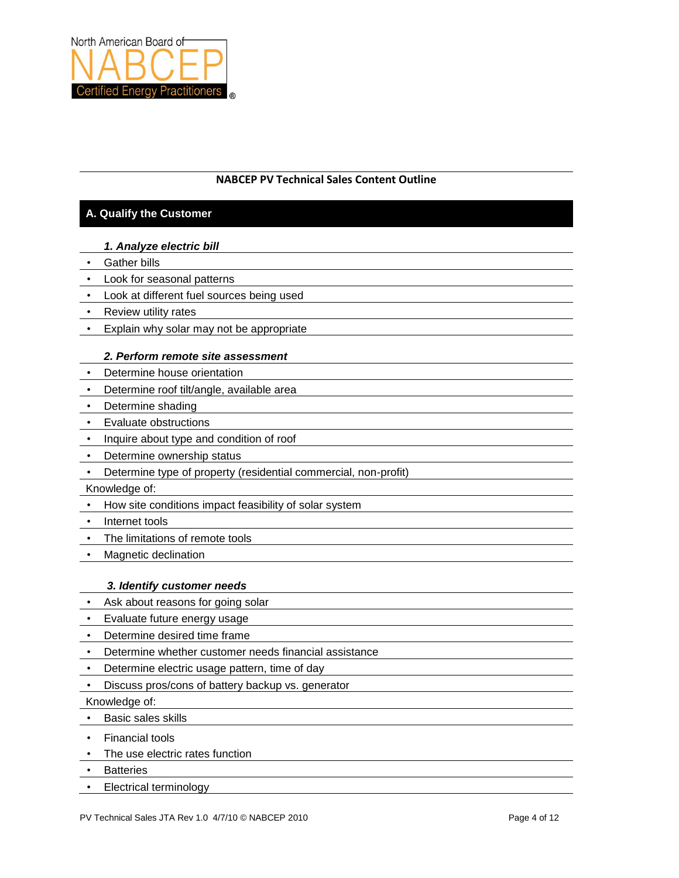

# **NABCEP PV Technical Sales Content Outline**

# **A. Qualify the Customer**

## *1. Analyze electric bill*

- Gather bills
- Look for seasonal patterns
- Look at different fuel sources being used
- Review utility rates
- Explain why solar may not be appropriate

## *2. Perform remote site assessment*

- Determine house orientation
- Determine roof tilt/angle, available area
- Determine shading
- Evaluate obstructions
- Inquire about type and condition of roof
- Determine ownership status
- Determine type of property (residential commercial, non-profit)

Knowledge of:

- How site conditions impact feasibility of solar system
- Internet tools
- The limitations of remote tools
- Magnetic declination

## *3. Identify customer needs*

- Ask about reasons for going solar
- Evaluate future energy usage
- Determine desired time frame
- Determine whether customer needs financial assistance
- Determine electric usage pattern, time of day
- Discuss pros/cons of battery backup vs. generator

Knowledge of:

- Basic sales skills
- Financial tools
- The use electric rates function
- Batteries
- Electrical terminology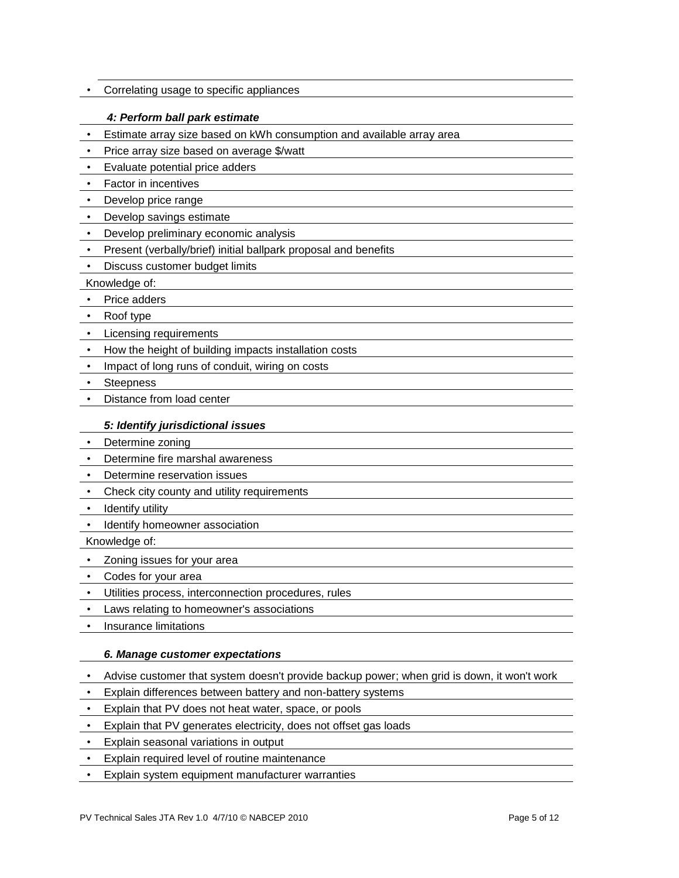• Correlating usage to specific appliances

## *4: Perform ball park estimate*

- Estimate array size based on kWh consumption and available array area
- Price array size based on average \$/watt
- Evaluate potential price adders
- Factor in incentives
- Develop price range
- Develop savings estimate
- Develop preliminary economic analysis
- Present (verbally/brief) initial ballpark proposal and benefits
- Discuss customer budget limits

Knowledge of:

- Price adders
- Roof type
- Licensing requirements
- How the height of building impacts installation costs
- Impact of long runs of conduit, wiring on costs
- Steepness
- Distance from load center

## *5: Identify jurisdictional issues*

- Determine zoning
- Determine fire marshal awareness
- Determine reservation issues
- Check city county and utility requirements
- Identify utility
- Identify homeowner association

Knowledge of:

- Zoning issues for your area
- Codes for your area
- Utilities process, interconnection procedures, rules
- Laws relating to homeowner's associations
- Insurance limitations

## *6. Manage customer expectations*

- Advise customer that system doesn't provide backup power; when grid is down, it won't work
- Explain differences between battery and non-battery systems
- Explain that PV does not heat water, space, or pools
- Explain that PV generates electricity, does not offset gas loads
- Explain seasonal variations in output
- Explain required level of routine maintenance
- Explain system equipment manufacturer warranties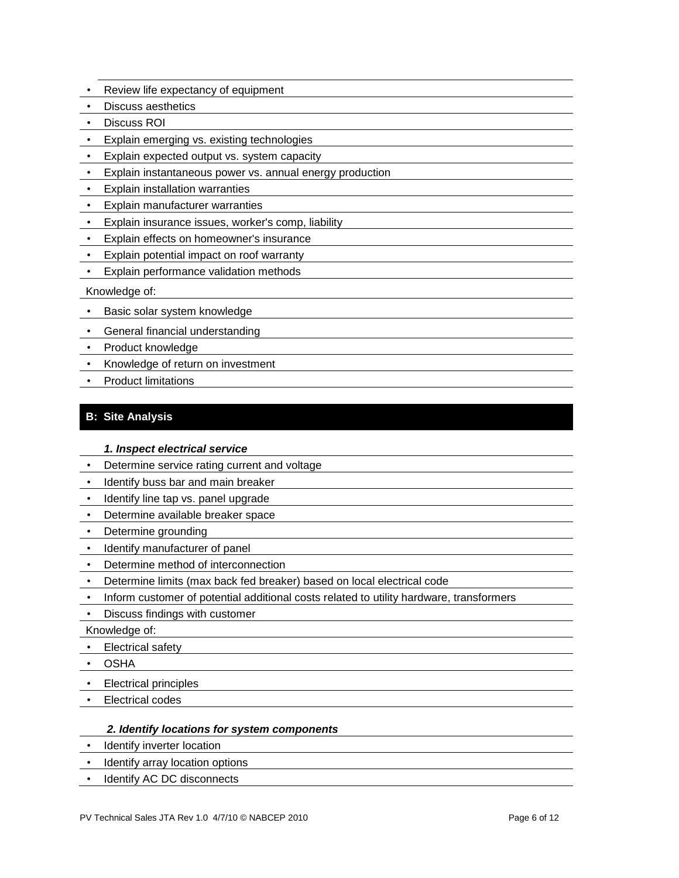- Review life expectancy of equipment
- Discuss aesthetics
- Discuss ROI
- Explain emerging vs. existing technologies
- Explain expected output vs. system capacity
- Explain instantaneous power vs. annual energy production
- Explain installation warranties
- Explain manufacturer warranties
- Explain insurance issues, worker's comp, liability
- Explain effects on homeowner's insurance
- Explain potential impact on roof warranty
- Explain performance validation methods

## Knowledge of:

- Basic solar system knowledge
- General financial understanding
- Product knowledge
- Knowledge of return on investment
- Product limitations

# **B: Site Analysis**

## *1. Inspect electrical service*

- Determine service rating current and voltage
- Identify buss bar and main breaker
- Identify line tap vs. panel upgrade
- Determine available breaker space
- Determine grounding
- Identify manufacturer of panel
- Determine method of interconnection
- Determine limits (max back fed breaker) based on local electrical code
- Inform customer of potential additional costs related to utility hardware, transformers
- Discuss findings with customer

Knowledge of:

- Electrical safety
- OSHA
- Electrical principles
- Electrical codes

## *2. Identify locations for system components*

- Identify inverter location
- Identify array location options
- Identify AC DC disconnects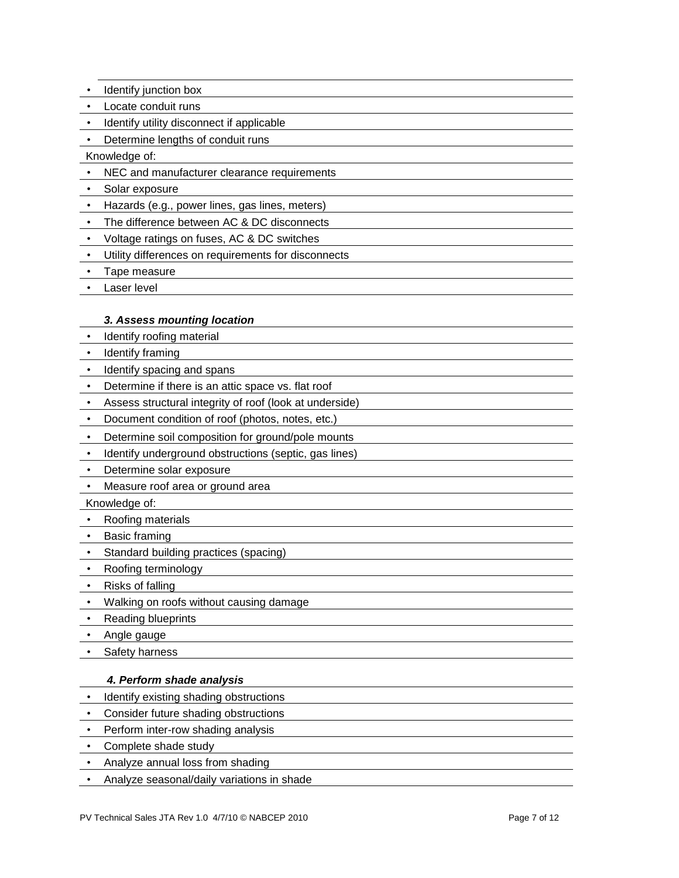- Identify junction box
- Locate conduit runs
- Identify utility disconnect if applicable

• Determine lengths of conduit runs

Knowledge of:

- NEC and manufacturer clearance requirements
- Solar exposure
- Hazards (e.g., power lines, gas lines, meters)
- The difference between AC & DC disconnects
- Voltage ratings on fuses, AC & DC switches
- Utility differences on requirements for disconnects
- Tape measure
- Laser level

#### *3. Assess mounting location*

- Identify roofing material
- Identify framing
- Identify spacing and spans
- Determine if there is an attic space vs. flat roof
- Assess structural integrity of roof (look at underside)
- Document condition of roof (photos, notes, etc.)
- Determine soil composition for ground/pole mounts
- Identify underground obstructions (septic, gas lines)
- Determine solar exposure
- Measure roof area or ground area

Knowledge of:

- Roofing materials
- Basic framing
- Standard building practices (spacing)
- Roofing terminology
- Risks of falling
- Walking on roofs without causing damage
- Reading blueprints
- Angle gauge
- Safety harness

#### *4. Perform shade analysis*

- Identify existing shading obstructions
- Consider future shading obstructions
- Perform inter-row shading analysis
- Complete shade study
- Analyze annual loss from shading
- Analyze seasonal/daily variations in shade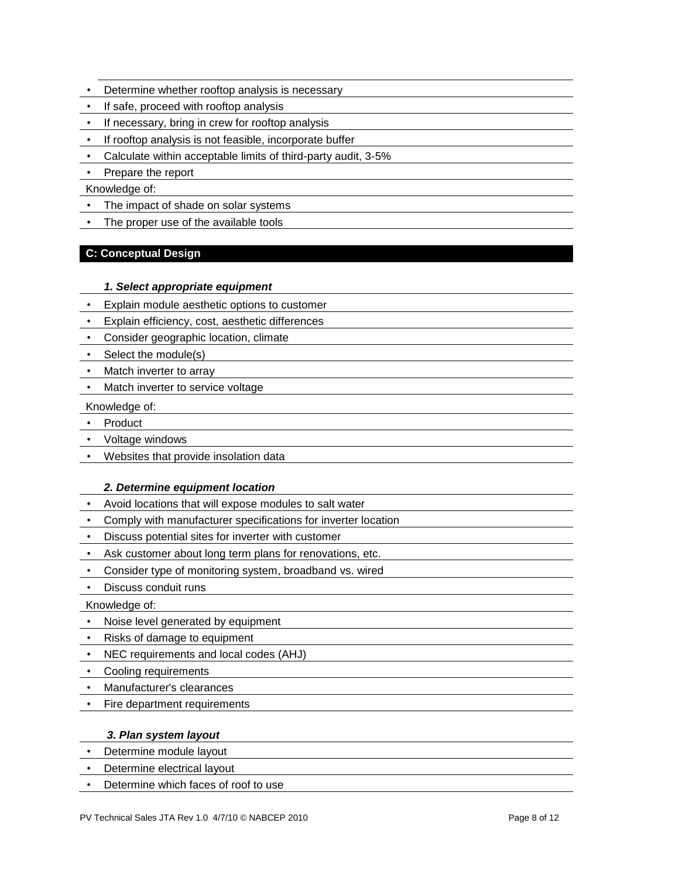- Determine whether rooftop analysis is necessary
- If safe, proceed with rooftop analysis
- If necessary, bring in crew for rooftop analysis
- If rooftop analysis is not feasible, incorporate buffer
- Calculate within acceptable limits of third-party audit, 3-5%
- Prepare the report

Knowledge of:

- The impact of shade on solar systems
- The proper use of the available tools

## **C: Conceptual Design**

## *1. Select appropriate equipment*

- Explain module aesthetic options to customer
- Explain efficiency, cost, aesthetic differences
- Consider geographic location, climate
- Select the module(s)
- Match inverter to array
- Match inverter to service voltage
- Knowledge of:
- Product
- Voltage windows
- Websites that provide insolation data

## *2. Determine equipment location*

- Avoid locations that will expose modules to salt water
- Comply with manufacturer specifications for inverter location
- Discuss potential sites for inverter with customer
- Ask customer about long term plans for renovations, etc.
- Consider type of monitoring system, broadband vs. wired
- Discuss conduit runs
- Knowledge of:
- Noise level generated by equipment
- Risks of damage to equipment
- NEC requirements and local codes (AHJ)
- Cooling requirements
- Manufacturer's clearances
- Fire department requirements

## *3. Plan system layout*

- Determine module layout
- Determine electrical layout
- Determine which faces of roof to use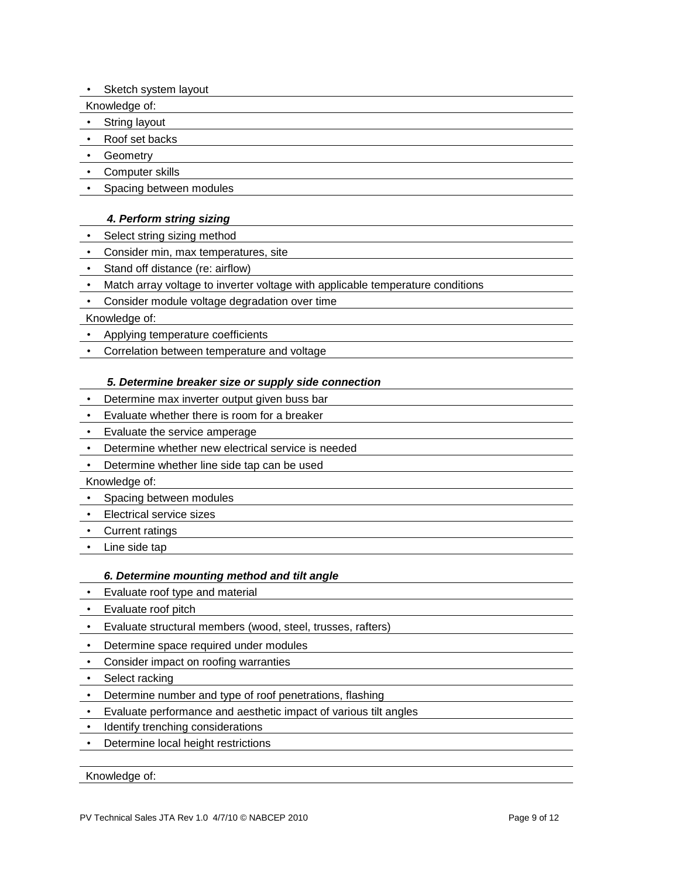• Sketch system layout

Knowledge of:

• String layout

- Roof set backs
- Geometry
- Computer skills
- Spacing between modules

## *4. Perform string sizing*

- Select string sizing method
- Consider min, max temperatures, site
- Stand off distance (re: airflow)
- Match array voltage to inverter voltage with applicable temperature conditions
- Consider module voltage degradation over time

## Knowledge of:

- Applying temperature coefficients
- Correlation between temperature and voltage

## *5. Determine breaker size or supply side connection*

- Determine max inverter output given buss bar
- Evaluate whether there is room for a breaker
- Evaluate the service amperage
- Determine whether new electrical service is needed
- Determine whether line side tap can be used

Knowledge of:

- Spacing between modules
- Electrical service sizes
- Current ratings
- Line side tap

## *6. Determine mounting method and tilt angle*

- Evaluate roof type and material
- Evaluate roof pitch
- Evaluate structural members (wood, steel, trusses, rafters)
- Determine space required under modules
- Consider impact on roofing warranties
- Select racking
- Determine number and type of roof penetrations, flashing
- Evaluate performance and aesthetic impact of various tilt angles
- Identify trenching considerations
- Determine local height restrictions

Knowledge of: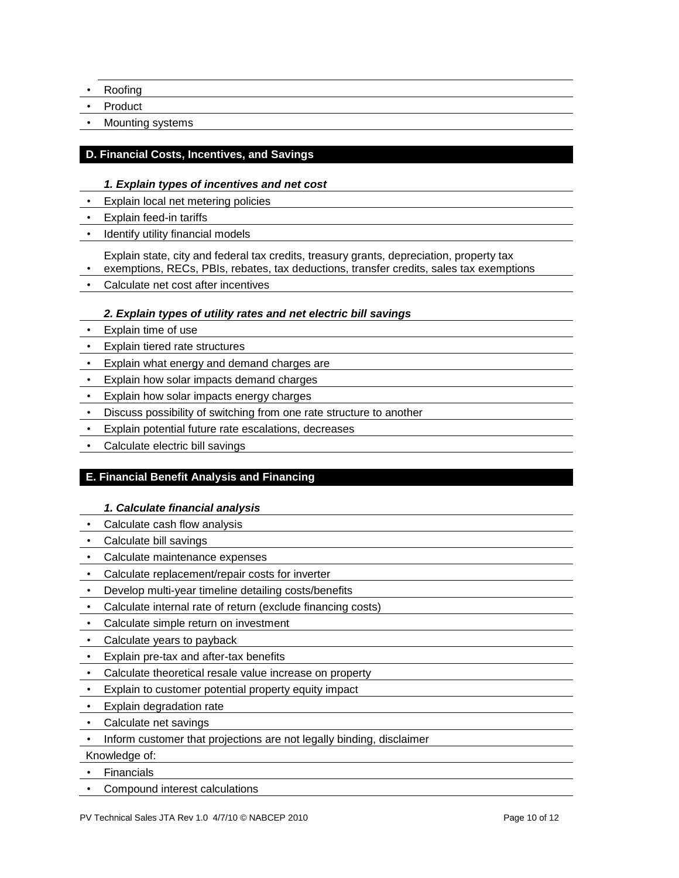- Roofing
- Product
- Mounting systems

## **D. Financial Costs, Incentives, and Savings**

## *1. Explain types of incentives and net cost*

- Explain local net metering policies
- Explain feed-in tariffs
- Identify utility financial models

Explain state, city and federal tax credits, treasury grants, depreciation, property tax

• exemptions, RECs, PBIs, rebates, tax deductions, transfer credits, sales tax exemptions

• Calculate net cost after incentives

## *2. Explain types of utility rates and net electric bill savings*

- Explain time of use
- Explain tiered rate structures
- Explain what energy and demand charges are
- Explain how solar impacts demand charges
- Explain how solar impacts energy charges
- Discuss possibility of switching from one rate structure to another
- Explain potential future rate escalations, decreases
- Calculate electric bill savings

# **E. Financial Benefit Analysis and Financing**

## *1. Calculate financial analysis*

- Calculate cash flow analysis
- Calculate bill savings
- Calculate maintenance expenses
- Calculate replacement/repair costs for inverter
- Develop multi-year timeline detailing costs/benefits
- Calculate internal rate of return (exclude financing costs)
- Calculate simple return on investment
- Calculate years to payback
- Explain pre-tax and after-tax benefits
- Calculate theoretical resale value increase on property
- Explain to customer potential property equity impact
- Explain degradation rate
- Calculate net savings
- Inform customer that projections are not legally binding, disclaimer

Knowledge of:

- Financials
- Compound interest calculations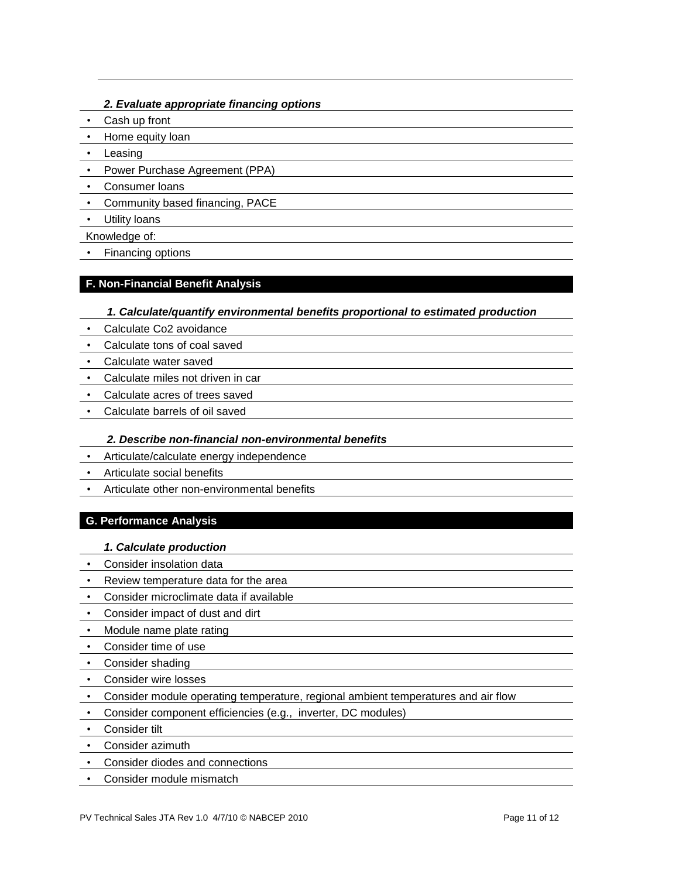## *2. Evaluate appropriate financing options*

- Cash up front
- Home equity loan
- Leasing
- Power Purchase Agreement (PPA)
- Consumer loans
- Community based financing, PACE
- Utility loans
- Knowledge of:
- Financing options

## **F. Non-Financial Benefit Analysis**

## *1. Calculate/quantify environmental benefits proportional to estimated production*

- Calculate Co2 avoidance
- Calculate tons of coal saved
- Calculate water saved
- Calculate miles not driven in car
- Calculate acres of trees saved
- Calculate barrels of oil saved

## *2. Describe non-financial non-environmental benefits*

- Articulate/calculate energy independence
- Articulate social benefits
- Articulate other non-environmental benefits

## **G. Performance Analysis**

## *1. Calculate production*

- Consider insolation data
- Review temperature data for the area
- Consider microclimate data if available
- Consider impact of dust and dirt
- Module name plate rating
- Consider time of use
- Consider shading
- Consider wire losses
- Consider module operating temperature, regional ambient temperatures and air flow
- Consider component efficiencies (e.g., inverter, DC modules)
- Consider tilt
- Consider azimuth
- Consider diodes and connections
- Consider module mismatch